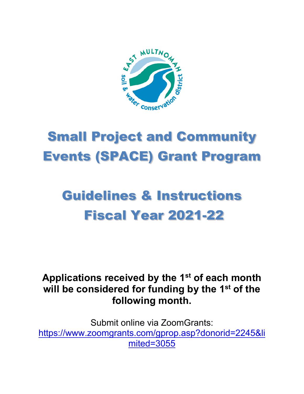

# Small Project and Community Events (SPACE) Grant Program

## Guidelines & Instructions Fiscal Year 2021-22

## **Applications received by the 1st of each month will be considered for funding by the 1st of the following month.**

Submit online via ZoomGrants: [https://www.zoomgrants.com/gprop.asp?donorid=2245&li](https://www.zoomgrants.com/gprop.asp?donorid=2245&limited=3055) [mited=3055](https://www.zoomgrants.com/gprop.asp?donorid=2245&limited=3055)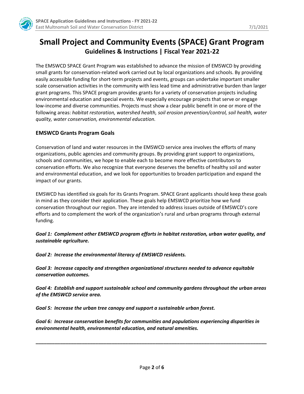

### **Small Project and Community Events (SPACE) Grant Program Guidelines & Instructions | Fiscal Year 2021-22**

The EMSWCD SPACE Grant Program was established to advance the mission of EMSWCD by providing small grants for conservation-related work carried out by local organizations and schools. By providing easily accessible funding for short-term projects and events, groups can undertake important smaller scale conservation activities in the community with less lead time and administrative burden than larger grant programs. This SPACE program provides grants for a variety of conservation projects including environmental education and special events. We especially encourage projects that serve or engage low-income and diverse communities. Projects must show a clear public benefit in one or more of the following areas: *habitat restoration, watershed health, soil erosion prevention/control, soil health, water quality, water conservation, environmental education.*

#### **EMSWCD Grants Program Goals**

Conservation of land and water resources in the EMSWCD service area involves the efforts of many organizations, public agencies and community groups. By providing grant support to organizations, schools and communities, we hope to enable each to become more effective contributors to conservation efforts. We also recognize that everyone deserves the benefits of healthy soil and water and environmental education, and we look for opportunities to broaden participation and expand the impact of our grants.

EMSWCD has identified six goals for its Grants Program. SPACE Grant applicants should keep these goals in mind as they consider their application. These goals help EMSWCD prioritize how we fund conservation throughout our region. They are intended to address issues outside of EMSWCD's core efforts and to complement the work of the organization's rural and urban programs through external funding.

*Goal 1: Complement other EMSWCD program efforts in habitat restoration, urban water quality, and sustainable agriculture.*

*Goal 2: Increase the environmental literacy of EMSWCD residents.* 

*Goal 3: Increase capacity and strengthen organizational structures needed to advance equitable conservation outcomes.*

*Goal 4: Establish and support sustainable school and community gardens throughout the urban areas of the EMSWCD service area.*

*Goal 5: Increase the urban tree canopy and support a sustainable urban forest.* 

*Goal 6: Increase conservation benefits for communities and populations experiencing disparities in environmental health, environmental education, and natural amenities.*

**\_\_\_\_\_\_\_\_\_\_\_\_\_\_\_\_\_\_\_\_\_\_\_\_\_\_\_\_\_\_\_\_\_\_\_\_\_\_\_\_\_\_\_\_\_\_\_\_\_\_\_\_\_\_\_\_\_\_\_\_\_\_\_\_\_\_\_\_\_\_\_\_\_\_\_\_\_\_\_\_\_\_\_\_\_**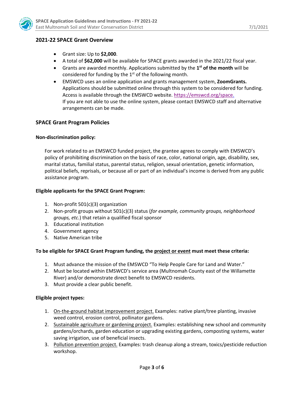

#### **2021-22 SPACE Grant Overview**

- Grant size: Up to **\$2,000**.
- A total of **\$62,000** will be available for SPACE grants awarded in the 2021/22 fiscal year.
- Grants are awarded monthly. Applications submitted by the **1st of the month** will be considered for funding by the  $1<sup>st</sup>$  of the following month.
- EMSWCD uses an online application and grants management system, **ZoomGrants.** Applications should be submitted online through this system to be considered for funding. Access is available through the EMSWCD website. [https://emswcd.org/space.](https://emswcd.org/space) If you are not able to use the online system, please contact EMSWCD staff and alternative arrangements can be made.

#### **SPACE Grant Program Policies**

#### **Non-discrimination policy:**

For work related to an EMSWCD funded project, the grantee agrees to comply with EMSWCD's policy of prohibiting discrimination on the basis of race, color, national origin, age, disability, sex, marital status, familial status, parental status, religion, sexual orientation, genetic information, political beliefs, reprisals, or because all or part of an individual's income is derived from any public assistance program.

#### **Eligible applicants for the SPACE Grant Program:**

- 1. Non-profit 501(c)(3) organization
- 2. Non-profit groups without 501(c)(3) status (*for example, community groups, neighborhood groups, etc.*) that retain a qualified fiscal sponsor
- 3. Educational institution
- 4. Government agency
- 5. Native American tribe

#### **To be eligible for SPACE Grant Program funding, the project or event must meet these criteria:**

- 1. Must advance the mission of the EMSWCD "To Help People Care for Land and Water."
- 2. Must be located within EMSWCD's service area (Multnomah County east of the Willamette River) and/or demonstrate direct benefit to EMSWCD residents.
- 3. Must provide a clear public benefit.

#### **Eligible project types:**

- 1. On-the-ground habitat improvement project. Examples: native plant/tree planting, invasive weed control, erosion control, pollinator gardens.
- 2. Sustainable agriculture or gardening project. Examples: establishing new school and community gardens/orchards, garden education or upgrading existing gardens, composting systems, water saving irrigation, use of beneficial insects.
- 3. Pollution prevention project. Examples: trash cleanup along a stream, toxics/pesticide reduction workshop.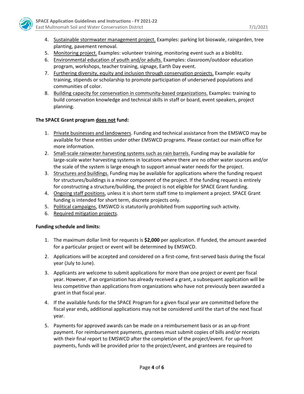

- 4. Sustainable stormwater management project. Examples: parking lot bioswale, raingarden, tree planting, pavement removal.
- 5. Monitoring project. Examples: volunteer training, monitoring event such as a bioblitz.
- 6. Environmental education of youth and/or adults. Examples: classroom/outdoor education program, workshops, teacher training, signage, Earth Day event.
- 7. Furthering diversity, equity and inclusion through conservation projects. Example: equity training, stipends or scholarship to promote participation of underserved populations and communities of color.
- 8. Building capacity for conservation in community-based organizations. Examples: training to build conservation knowledge and technical skills in staff or board, event speakers, project planning.

#### **The SPACE Grant program does not fund:**

- 1. Private businesses and landowners. Funding and technical assistance from the EMSWCD may be available for these entities under other EMSWCD programs. Please contact our main office for more information.
- 2. Small-scale rainwater harvesting systems such as rain barrels. Funding may be available for large-scale water harvesting systems in locations where there are no other water sources and/or the scale of the system is large enough to support annual water needs for the project.
- 3. Structures and buildings. Funding may be available for applications where the funding request for structures/buildings is a minor component of the project. If the funding request is entirely for constructing a structure/building, the project is not eligible for SPACE Grant funding.
- 4. Ongoing staff positions, unless it is short term staff time to implement a project. SPACE Grant funding is intended for short term, discrete projects only.
- 5. Political campaigns, EMSWCD is statutorily prohibited from supporting such activity.
- 6. Required mitigation projects.

#### **Funding schedule and limits:**

- 1. The maximum dollar limit for requests is **\$2,000** per application. If funded, the amount awarded for a particular project or event will be determined by EMSWCD.
- 2. Applications will be accepted and considered on a first-come, first-served basis during the fiscal year (July to June).
- 3. Applicants are welcome to submit applications for more than one project or event per fiscal year. However, if an organization has already received a grant, a subsequent application will be less competitive than applications from organizations who have not previously been awarded a grant in that fiscal year.
- 4. If the available funds for the SPACE Program for a given fiscal year are committed before the fiscal year ends, additional applications may not be considered until the start of the next fiscal year.
- 5. Payments for approved awards can be made on a reimbursement basis or as an up-front payment. For reimbursement payments, grantees must submit copies of bills and/or receipts with their final report to EMSWCD after the completion of the project/event. For up-front payments, funds will be provided prior to the project/event, and grantees are required to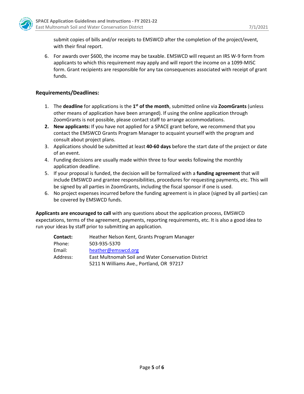

submit copies of bills and/or receipts to EMSWCD after the completion of the project/event, with their final report.

6. For awards over \$600, the income may be taxable. EMSWCD will request an IRS W-9 form from applicants to which this requirement may apply and will report the income on a 1099-MISC form. Grant recipients are responsible for any tax consequences associated with receipt of grant funds.

#### **Requirements/Deadlines:**

- 1. The **deadline** for applications is the **1st of the month**, submitted online via **ZoomGrants** (unless other means of application have been arranged). If using the online application through ZoomGrants is not possible, please contact staff to arrange accommodations.
- **2. New applicants:** If you have not applied for a SPACE grant before, we recommend that you contact the EMSWCD Grants Program Manager to acquaint yourself with the program and consult about project plans.
- 3. Applications should be submitted at least **40-60 days** before the start date of the project or date of an event.
- 4. Funding decisions are usually made within three to four weeks following the monthly application deadline.
- 5. If your proposal is funded, the decision will be formalized with a **funding agreement** that will include EMSWCD and grantee responsibilities, procedures for requesting payments, etc. This will be signed by all parties in ZoomGrants, including the fiscal sponsor if one is used.
- 6. No project expenses incurred before the funding agreement is in place (signed by all parties) can be covered by EMSWCD funds.

**Applicants are encouraged to call** with any questions about the application process, EMSWCD expectations, terms of the agreement, payments, reporting requirements, etc. It is also a good idea to run your ideas by staff prior to submitting an application.

| Contact: | Heather Nelson Kent, Grants Program Manager         |
|----------|-----------------------------------------------------|
| Phone:   | 503-935-5370                                        |
| Email:   | heather@emswcd.org                                  |
| Address: | East Multnomah Soil and Water Conservation District |
|          | 5211 N Williams Ave., Portland, OR 97217            |